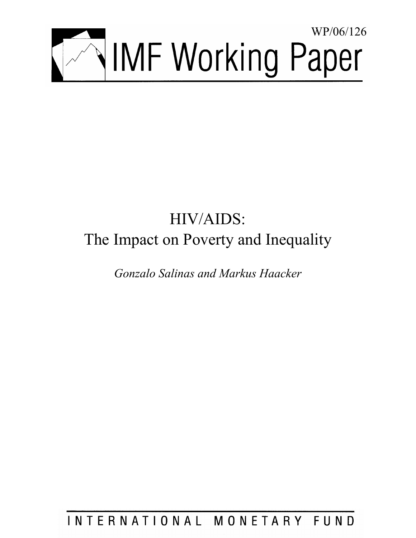

# HIV/AIDS: The Impact on Poverty and Inequality

*Gonzalo Salinas and Markus Haacker* 

INTERNATIONAL MONETARY FUND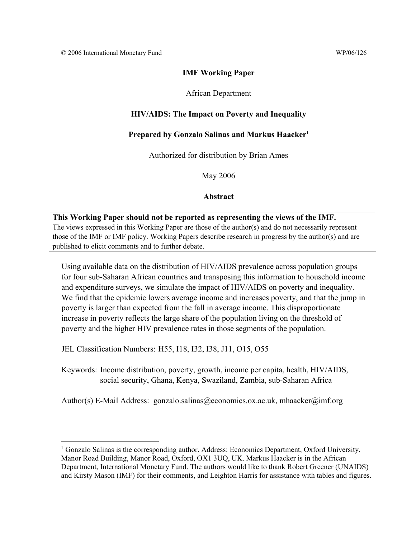# **IMF Working Paper**

# African Department

# **HIV/AIDS: The Impact on Poverty and Inequality**

## **Prepared by Gonzalo Salinas and Markus Haacker1**

Authorized for distribution by Brian Ames

May 2006

### **Abstract**

**This Working Paper should not be reported as representing the views of the IMF.** The views expressed in this Working Paper are those of the author(s) and do not necessarily represent those of the IMF or IMF policy. Working Papers describe research in progress by the author(s) and are published to elicit comments and to further debate.

Using available data on the distribution of HIV/AIDS prevalence across population groups for four sub-Saharan African countries and transposing this information to household income and expenditure surveys, we simulate the impact of HIV/AIDS on poverty and inequality. We find that the epidemic lowers average income and increases poverty, and that the jump in poverty is larger than expected from the fall in average income. This disproportionate increase in poverty reflects the large share of the population living on the threshold of poverty and the higher HIV prevalence rates in those segments of the population.

JEL Classification Numbers: H55, I18, I32, I38, J11, O15, O55

 $\overline{a}$ 

Keywords: Income distribution, poverty, growth, income per capita, health, HIV/AIDS, social security, Ghana, Kenya, Swaziland, Zambia, sub-Saharan Africa

Author(s) E-Mail Address: gonzalo.salinas@economics.ox.ac.uk, mhaacker@imf.org

<sup>&</sup>lt;sup>1</sup> Gonzalo Salinas is the corresponding author. Address: Economics Department, Oxford University, Manor Road Building, Manor Road, Oxford, OX1 3UQ, UK. Markus Haacker is in the African Department, International Monetary Fund. The authors would like to thank Robert Greener (UNAIDS) and Kirsty Mason (IMF) for their comments, and Leighton Harris for assistance with tables and figures.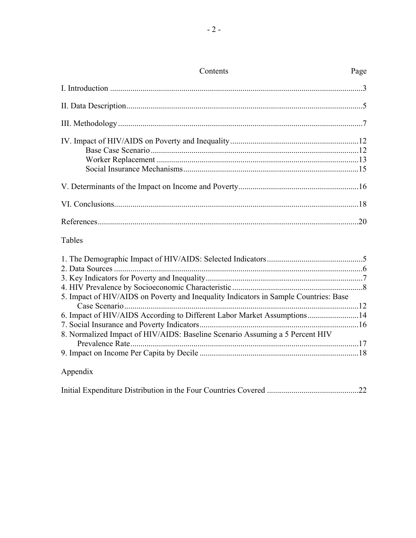| Page                                                                    |
|-------------------------------------------------------------------------|
|                                                                         |
|                                                                         |
|                                                                         |
|                                                                         |
|                                                                         |
|                                                                         |
|                                                                         |
|                                                                         |
|                                                                         |
|                                                                         |
|                                                                         |
|                                                                         |
|                                                                         |
| 6. Impact of HIV/AIDS According to Different Labor Market Assumptions14 |
|                                                                         |
|                                                                         |
|                                                                         |
|                                                                         |
|                                                                         |

# Appendix

|--|--|--|--|--|--|--|--|--|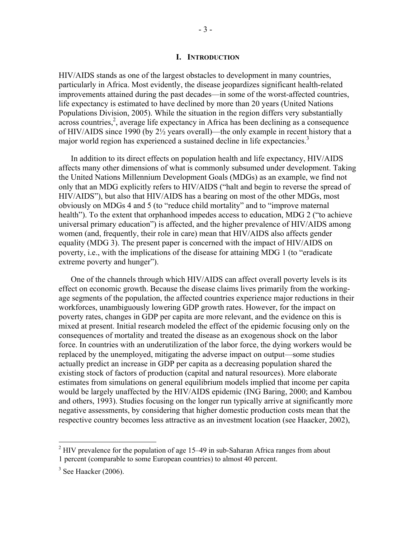#### **I. INTRODUCTION**

HIV/AIDS stands as one of the largest obstacles to development in many countries, particularly in Africa. Most evidently, the disease jeopardizes significant health-related improvements attained during the past decades—in some of the worst-affected countries, life expectancy is estimated to have declined by more than 20 years (United Nations Populations Division, 2005). While the situation in the region differs very substantially across countries,<sup>2</sup>, average life expectancy in Africa has been declining as a consequence of HIV/AIDS since 1990 (by 2½ years overall)—the only example in recent history that a major world region has experienced a sustained decline in life expectancies.<sup>3</sup>

In addition to its direct effects on population health and life expectancy, HIV/AIDS affects many other dimensions of what is commonly subsumed under development. Taking the United Nations Millennium Development Goals (MDGs) as an example, we find not only that an MDG explicitly refers to HIV/AIDS ("halt and begin to reverse the spread of HIV/AIDS"), but also that HIV/AIDS has a bearing on most of the other MDGs, most obviously on MDGs 4 and 5 (to "reduce child mortality" and to "improve maternal health"). To the extent that orphanhood impedes access to education, MDG 2 ("to achieve universal primary education") is affected, and the higher prevalence of HIV/AIDS among women (and, frequently, their role in care) mean that HIV/AIDS also affects gender equality (MDG 3). The present paper is concerned with the impact of HIV/AIDS on poverty, i.e., with the implications of the disease for attaining MDG 1 (to "eradicate extreme poverty and hunger").

One of the channels through which HIV/AIDS can affect overall poverty levels is its effect on economic growth. Because the disease claims lives primarily from the workingage segments of the population, the affected countries experience major reductions in their workforces, unambiguously lowering GDP growth rates. However, for the impact on poverty rates, changes in GDP per capita are more relevant, and the evidence on this is mixed at present. Initial research modeled the effect of the epidemic focusing only on the consequences of mortality and treated the disease as an exogenous shock on the labor force. In countries with an underutilization of the labor force, the dying workers would be replaced by the unemployed, mitigating the adverse impact on output—some studies actually predict an increase in GDP per capita as a decreasing population shared the existing stock of factors of production (capital and natural resources). More elaborate estimates from simulations on general equilibrium models implied that income per capita would be largely unaffected by the HIV/AIDS epidemic (ING Baring, 2000; and Kambou and others, 1993). Studies focusing on the longer run typically arrive at significantly more negative assessments, by considering that higher domestic production costs mean that the respective country becomes less attractive as an investment location (see Haacker, 2002),

 $2$  HIV prevalence for the population of age 15–49 in sub-Saharan Africa ranges from about 1 percent (comparable to some European countries) to almost 40 percent.

 $3$  See Haacker (2006).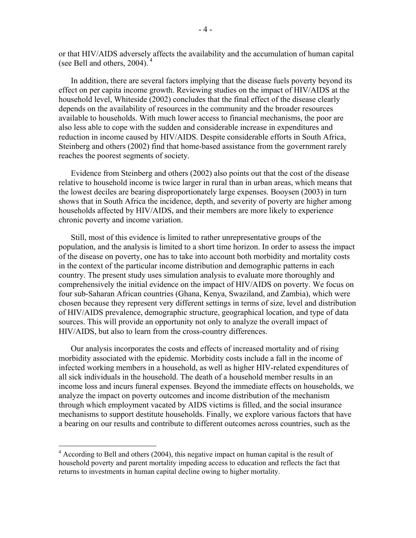or that HIV/AIDS adversely affects the availability and the accumulation of human capital (see Bell and others, 2004). 4

In addition, there are several factors implying that the disease fuels poverty beyond its effect on per capita income growth. Reviewing studies on the impact of HIV/AIDS at the household level, Whiteside (2002) concludes that the final effect of the disease clearly depends on the availability of resources in the community and the broader resources available to households. With much lower access to financial mechanisms, the poor are also less able to cope with the sudden and considerable increase in expenditures and reduction in income caused by HIV/AIDS. Despite considerable efforts in South Africa, Steinberg and others (2002) find that home-based assistance from the government rarely reaches the poorest segments of society.

Evidence from Steinberg and others (2002) also points out that the cost of the disease relative to household income is twice larger in rural than in urban areas, which means that the lowest deciles are bearing disproportionately large expenses. Booysen (2003) in turn shows that in South Africa the incidence, depth, and severity of poverty are higher among households affected by HIV/AIDS, and their members are more likely to experience chronic poverty and income variation.

Still, most of this evidence is limited to rather unrepresentative groups of the population, and the analysis is limited to a short time horizon. In order to assess the impact of the disease on poverty, one has to take into account both morbidity and mortality costs in the context of the particular income distribution and demographic patterns in each country. The present study uses simulation analysis to evaluate more thoroughly and comprehensively the initial evidence on the impact of HIV/AIDS on poverty. We focus on four sub-Saharan African countries (Ghana, Kenya, Swaziland, and Zambia), which were chosen because they represent very different settings in terms of size, level and distribution of HIV/AIDS prevalence, demographic structure, geographical location, and type of data sources. This will provide an opportunity not only to analyze the overall impact of HIV/AIDS, but also to learn from the cross-country differences.

Our analysis incorporates the costs and effects of increased mortality and of rising morbidity associated with the epidemic. Morbidity costs include a fall in the income of infected working members in a household, as well as higher HIV-related expenditures of all sick individuals in the household. The death of a household member results in an income loss and incurs funeral expenses. Beyond the immediate effects on households, we analyze the impact on poverty outcomes and income distribution of the mechanism through which employment vacated by AIDS victims is filled, and the social insurance mechanisms to support destitute households. Finally, we explore various factors that have a bearing on our results and contribute to different outcomes across countries, such as the

<sup>&</sup>lt;sup>4</sup> According to Bell and others (2004), this negative impact on human capital is the result of household poverty and parent mortality impeding access to education and reflects the fact that returns to investments in human capital decline owing to higher mortality.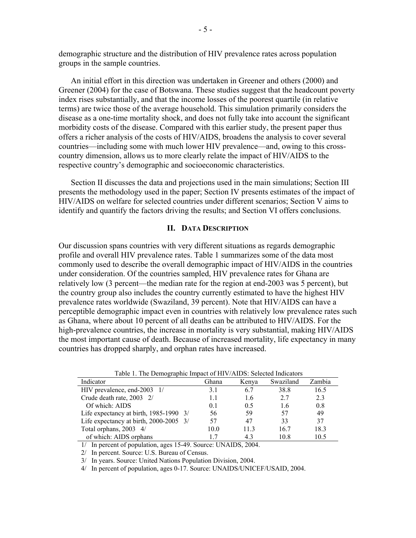demographic structure and the distribution of HIV prevalence rates across population groups in the sample countries.

An initial effort in this direction was undertaken in Greener and others (2000) and Greener (2004) for the case of Botswana. These studies suggest that the headcount poverty index rises substantially, and that the income losses of the poorest quartile (in relative terms) are twice those of the average household. This simulation primarily considers the disease as a one-time mortality shock, and does not fully take into account the significant morbidity costs of the disease. Compared with this earlier study, the present paper thus offers a richer analysis of the costs of HIV/AIDS, broadens the analysis to cover several countries—including some with much lower HIV prevalence—and, owing to this crosscountry dimension, allows us to more clearly relate the impact of HIV/AIDS to the respective country's demographic and socioeconomic characteristics.

Section II discusses the data and projections used in the main simulations; Section III presents the methodology used in the paper; Section IV presents estimates of the impact of HIV/AIDS on welfare for selected countries under different scenarios; Section V aims to identify and quantify the factors driving the results; and Section VI offers conclusions.

#### **II. DATA DESCRIPTION**

Our discussion spans countries with very different situations as regards demographic profile and overall HIV prevalence rates. Table 1 summarizes some of the data most commonly used to describe the overall demographic impact of HIV/AIDS in the countries under consideration. Of the countries sampled, HIV prevalence rates for Ghana are relatively low (3 percent—the median rate for the region at end-2003 was 5 percent), but the country group also includes the country currently estimated to have the highest HIV prevalence rates worldwide (Swaziland, 39 percent). Note that HIV/AIDS can have a perceptible demographic impact even in countries with relatively low prevalence rates such as Ghana, where about 10 percent of all deaths can be attributed to HIV/AIDS. For the high-prevalence countries, the increase in mortality is very substantial, making HIV/AIDS the most important cause of death. Because of increased mortality, life expectancy in many countries has dropped sharply, and orphan rates have increased.

| Table 1. The Demographic impact of III (71 KD). Delected indicators |       |       |           |        |
|---------------------------------------------------------------------|-------|-------|-----------|--------|
| Indicator                                                           | Ghana | Kenva | Swaziland | Zambia |
| HIV prevalence, end-2003 1/                                         | 31    | 67    | 38.8      | 16.5   |
| Crude death rate, 2003 2/                                           | 1.1   | 1.6   | 2.7       | 2.3    |
| Of which: AIDS                                                      | 0.1   | 0.5   | 1.6       | 0.8    |
| Life expectancy at birth, $1985-1990$ 3/                            | 56    | 59    | 57        | 49     |
| Life expectancy at birth, 2000-2005 3/                              | 57    | 47    | 33        | 37     |
| Total orphans, 2003 4/                                              | 10.0  | 113   | 16.7      | 18.3   |
| of which: AIDS orphans                                              |       |       | 10 8      | 10.5   |

Table 1. The Demographic Impact of HIV/AIDS: Selected Indicators

1/ In percent of population, ages 15-49. Source: UNAIDS, 2004.

2/ In percent. Source: U.S. Bureau of Census.

3/ In years. Source: United Nations Population Division, 2004.

4/ In percent of population, ages 0-17. Source: UNAIDS/UNICEF/USAID, 2004.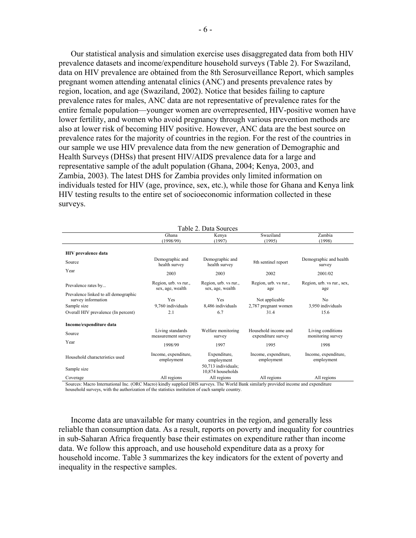Our statistical analysis and simulation exercise uses disaggregated data from both HIV prevalence datasets and income/expenditure household surveys (Table 2). For Swaziland, data on HIV prevalence are obtained from the 8th Serosurveillance Report, which samples pregnant women attending antenatal clinics (ANC) and presents prevalence rates by region, location, and age (Swaziland, 2002). Notice that besides failing to capture prevalence rates for males, ANC data are not representative of prevalence rates for the entire female population—younger women are overrepresented, HIV-positive women have lower fertility, and women who avoid pregnancy through various prevention methods are also at lower risk of becoming HIV positive. However, ANC data are the best source on prevalence rates for the majority of countries in the region. For the rest of the countries in our sample we use HIV prevalence data from the new generation of Demographic and Health Surveys (DHSs) that present HIV/AIDS prevalence data for a large and representative sample of the adult population (Ghana, 2004; Kenya, 2003, and Zambia, 2003). The latest DHS for Zambia provides only limited information on individuals tested for HIV (age, province, sex, etc.), while those for Ghana and Kenya link HIV testing results to the entire set of socioeconomic information collected in these surveys.

| Table 2. Data Sources                                                                                                                                                                                                                    |  |  |  |  |  |  |  |  |  |  |
|------------------------------------------------------------------------------------------------------------------------------------------------------------------------------------------------------------------------------------------|--|--|--|--|--|--|--|--|--|--|
| Swaziland<br>Zambia<br>Ghana<br>Kenya<br>(1998/99)<br>(1995)<br>(1998)<br>(1997)                                                                                                                                                         |  |  |  |  |  |  |  |  |  |  |
| <b>HIV</b> prevalence data                                                                                                                                                                                                               |  |  |  |  |  |  |  |  |  |  |
| Demographic and<br>Demographic and<br>Demographic and health<br>8th sentinel report<br>Source<br>health survey<br>health survey<br>survey                                                                                                |  |  |  |  |  |  |  |  |  |  |
| Year<br>2003<br>2003<br>2002<br>2001/02                                                                                                                                                                                                  |  |  |  |  |  |  |  |  |  |  |
| Region, urb. vs rur.,<br>Region, urb. vs rur.,<br>Region, urb. vs rur.,<br>Region, urb. vs rur., sex,<br>Prevalence rates by<br>sex, age, wealth<br>sex, age, wealth<br>age<br>age                                                       |  |  |  |  |  |  |  |  |  |  |
| Prevalence linked to all demographic<br>Yes<br>Yes<br>N <sub>0</sub><br>survey information<br>Not applicable<br>9,760 individuals<br>8.486 individuals<br>2,787 pregnant women<br>3,950 individuals<br>Sample size<br>6.7<br>2.1<br>31.4 |  |  |  |  |  |  |  |  |  |  |
| Overall HIV prevalence (In percent)<br>15.6<br>Income/expenditure data                                                                                                                                                                   |  |  |  |  |  |  |  |  |  |  |
| Living standards<br>Welfare monitoring<br>Household income and<br>Living conditions<br>Source<br>expenditure survey<br>monitoring survey<br>measurement survey<br>survey                                                                 |  |  |  |  |  |  |  |  |  |  |
| Year<br>1998/99<br>1997<br>1995<br>1998                                                                                                                                                                                                  |  |  |  |  |  |  |  |  |  |  |
| Expenditure,<br>Income, expenditure,<br>Income, expenditure,<br>Income, expenditure,<br>Household characteristics used<br>employment<br>employment<br>employment<br>employment                                                           |  |  |  |  |  |  |  |  |  |  |
| 50,713 individuals;<br>Sample size<br>10,874 households                                                                                                                                                                                  |  |  |  |  |  |  |  |  |  |  |
| All regions<br>All regions<br>All regions<br>All regions<br>Coverage<br>Sources: Maero International Inc. (ORC Maero) kindly supplied DHS surveys. The World Bank similarly provided income and expenditure                              |  |  |  |  |  |  |  |  |  |  |

Macro International Inc. (ORC Macro) kindly supplied DHS surveys. The World Bank similarly provided income and expenditure household surveys, with the authorization of the statistics institution of each sample country.

Income data are unavailable for many countries in the region, and generally less reliable than consumption data. As a result, reports on poverty and inequality for countries in sub-Saharan Africa frequently base their estimates on expenditure rather than income data. We follow this approach, and use household expenditure data as a proxy for household income. Table 3 summarizes the key indicators for the extent of poverty and inequality in the respective samples.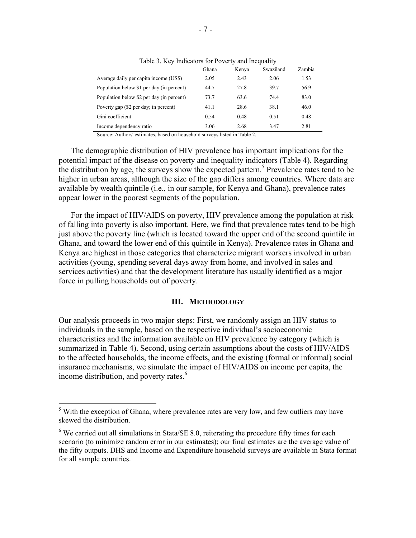|                                           | Ghana | Kenya | Swaziland | Zambia |
|-------------------------------------------|-------|-------|-----------|--------|
| Average daily per capita income (US\$)    | 2.05  | 2.43  | 2.06      | 1.53   |
| Population below \$1 per day (in percent) | 44.7  | 27.8  | 39.7      | 56.9   |
| Population below \$2 per day (in percent) | 73.7  | 63.6  | 74.4      | 83.0   |
| Poverty gap (\$2 per day; in percent)     | 41.1  | 28.6  | 38.1      | 46.0   |
| Gini coefficient                          | 0.54  | 0.48  | 0.51      | 0.48   |
| Income dependency ratio                   | 3.06  | 2.68  | 3.47      | 2.81   |

Table 3. Key Indicators for Poverty and Inequality

Source: Authors' estimates, based on household surveys listed in Table 2.

The demographic distribution of HIV prevalence has important implications for the potential impact of the disease on poverty and inequality indicators (Table 4). Regarding the distribution by age, the surveys show the expected pattern.<sup>5</sup> Prevalence rates tend to be higher in urban areas, although the size of the gap differs among countries. Where data are available by wealth quintile (i.e., in our sample, for Kenya and Ghana), prevalence rates appear lower in the poorest segments of the population.

For the impact of HIV/AIDS on poverty, HIV prevalence among the population at risk of falling into poverty is also important. Here, we find that prevalence rates tend to be high just above the poverty line (which is located toward the upper end of the second quintile in Ghana, and toward the lower end of this quintile in Kenya). Prevalence rates in Ghana and Kenya are highest in those categories that characterize migrant workers involved in urban activities (young, spending several days away from home, and involved in sales and services activities) and that the development literature has usually identified as a major force in pulling households out of poverty.

#### **III. METHODOLOGY**

Our analysis proceeds in two major steps: First, we randomly assign an HIV status to individuals in the sample, based on the respective individual's socioeconomic characteristics and the information available on HIV prevalence by category (which is summarized in Table 4). Second, using certain assumptions about the costs of HIV/AIDS to the affected households, the income effects, and the existing (formal or informal) social insurance mechanisms, we simulate the impact of HIV/AIDS on income per capita, the income distribution, and poverty rates. $<sup>6</sup>$ </sup>

 $<sup>5</sup>$  With the exception of Ghana, where prevalence rates are very low, and few outliers may have</sup> skewed the distribution.

 $6$  We carried out all simulations in Stata/SE 8.0, reiterating the procedure fifty times for each scenario (to minimize random error in our estimates); our final estimates are the average value of the fifty outputs. DHS and Income and Expenditure household surveys are available in Stata format for all sample countries.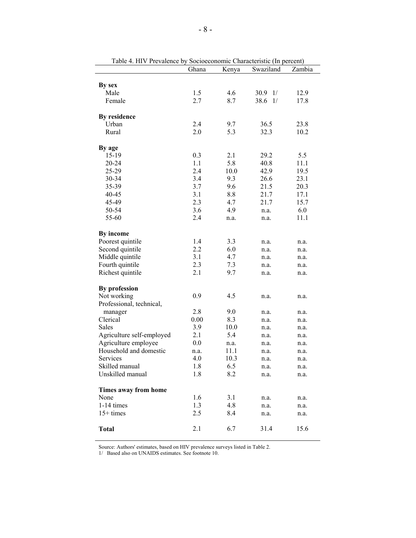| rable 4. First Prevalence by Socioeconomic Characteristic (in percent) | Ghana | Kenya | Swaziland  | Zambia |
|------------------------------------------------------------------------|-------|-------|------------|--------|
|                                                                        |       |       |            |        |
| By sex                                                                 |       |       |            |        |
| Male                                                                   | 1.5   | 4.6   | 30.9<br>1/ | 12.9   |
| Female                                                                 | 2.7   | 8.7   | 38.6<br>1/ | 17.8   |
| By residence                                                           |       |       |            |        |
| Urban                                                                  | 2.4   | 9.7   | 36.5       | 23.8   |
| Rural                                                                  | 2.0   | 5.3   | 32.3       | 10.2   |
| By age                                                                 |       |       |            |        |
| 15-19                                                                  | 0.3   | 2.1   | 29.2       | 5.5    |
| 20-24                                                                  | 1.1   | 5.8   | 40.8       | 11.1   |
| 25-29                                                                  | 2.4   | 10.0  | 42.9       | 19.5   |
| 30-34                                                                  | 3.4   | 9.3   | 26.6       | 23.1   |
| 35-39                                                                  | 3.7   | 9.6   | 21.5       | 20.3   |
| 40-45                                                                  | 3.1   | 8.8   | 21.7       | 17.1   |
| 45-49                                                                  | 2.3   | 4.7   | 21.7       | 15.7   |
| 50-54                                                                  | 3.6   | 4.9   | n.a.       | 6.0    |
| 55-60                                                                  | 2.4   | n.a.  | n.a.       | 11.1   |
| By income                                                              |       |       |            |        |
| Poorest quintile                                                       | 1.4   | 3.3   | n.a.       | n.a.   |
| Second quintile                                                        | 2.2   | 6.0   | n.a.       | n.a.   |
| Middle quintile                                                        | 3.1   | 4.7   | n.a.       | n.a.   |
| Fourth quintile                                                        | 2.3   | 7.3   | n.a.       | n.a.   |
| Richest quintile                                                       | 2.1   | 9.7   | n.a.       | n.a.   |
| By profession                                                          |       |       |            |        |
| Not working                                                            | 0.9   | 4.5   | n.a.       | n.a.   |
| Professional, technical,                                               |       |       |            |        |
| manager                                                                | 2.8   | 9.0   | n.a.       | n.a.   |
| Clerical                                                               | 0.00  | 8.3   | n.a.       | n.a.   |
| Sales                                                                  | 3.9   | 10.0  | n.a.       | n.a.   |
| Agriculture self-employed                                              | 2.1   | 5.4   | n.a.       | n.a.   |
| Agriculture employee                                                   | 0.0   | n.a.  | n.a.       | n.a.   |
| Household and domestic                                                 | n.a.  | 11.1  | n.a.       | n.a.   |
| Services                                                               | 4.0   | 10.3  | n.a.       | n.a.   |
| Skilled manual                                                         | 1.8   | 6.5   | n.a.       | n.a.   |
| Unskilled manual                                                       | 1.8   | 8.2   | n.a.       | n.a.   |
| Times away from home                                                   |       |       |            |        |
| None                                                                   | 1.6   | 3.1   | n.a.       | n.a.   |
| $1-14$ times                                                           | 1.3   | 4.8   | n.a.       | n.a.   |
| $15+$ times                                                            | 2.5   | 8.4   | n.a.       | n.a.   |
| <b>Total</b>                                                           | 2.1   | 6.7   | 31.4       | 15.6   |

Table 4. HIV Prevalence by Socioeconomic Characteristic (In percent)

Source: Authors' estimates, based on HIV prevalence surveys listed in Table 2.

1/ Based also on UNAIDS estimates. See footnote 10.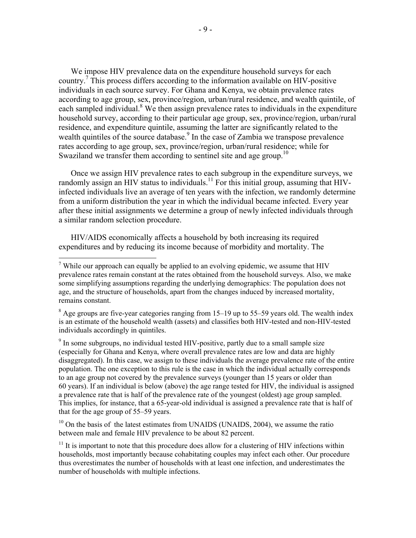We impose HIV prevalence data on the expenditure household surveys for each country.<sup>7</sup> This process differs according to the information available on HIV-positive individuals in each source survey. For Ghana and Kenya, we obtain prevalence rates according to age group, sex, province/region, urban/rural residence, and wealth quintile, of each sampled individual.<sup>8</sup> We then assign prevalence rates to individuals in the expenditure household survey, according to their particular age group, sex, province/region, urban/rural residence, and expenditure quintile, assuming the latter are significantly related to the wealth quintiles of the source database.<sup>9</sup> In the case of Zambia we transpose prevalence rates according to age group, sex, province/region, urban/rural residence; while for Swaziland we transfer them according to sentinel site and age group.<sup>10</sup>

Once we assign HIV prevalence rates to each subgroup in the expenditure surveys, we randomly assign an HIV status to individuals.<sup>11</sup> For this initial group, assuming that HIVinfected individuals live an average of ten years with the infection, we randomly determine from a uniform distribution the year in which the individual became infected. Every year after these initial assignments we determine a group of newly infected individuals through a similar random selection procedure.

HIV/AIDS economically affects a household by both increasing its required expenditures and by reducing its income because of morbidity and mortality. The

 $\overline{a}$ 

 $8$  Age groups are five-year categories ranging from 15–19 up to 55–59 years old. The wealth index is an estimate of the household wealth (assets) and classifies both HIV-tested and non-HIV-tested individuals accordingly in quintiles.

<sup>9</sup> In some subgroups, no individual tested HIV-positive, partly due to a small sample size (especially for Ghana and Kenya, where overall prevalence rates are low and data are highly disaggregated). In this case, we assign to these individuals the average prevalence rate of the entire population. The one exception to this rule is the case in which the individual actually corresponds to an age group not covered by the prevalence surveys (younger than 15 years or older than 60 years). If an individual is below (above) the age range tested for HIV, the individual is assigned a prevalence rate that is half of the prevalence rate of the youngest (oldest) age group sampled. This implies, for instance, that a 65-year-old individual is assigned a prevalence rate that is half of that for the age group of 55–59 years.

 $10$  On the basis of the latest estimates from UNAIDS (UNAIDS, 2004), we assume the ratio between male and female HIV prevalence to be about 82 percent.

 $11$  It is important to note that this procedure does allow for a clustering of HIV infections within households, most importantly because cohabitating couples may infect each other. Our procedure thus overestimates the number of households with at least one infection, and underestimates the number of households with multiple infections.

<sup>&</sup>lt;sup>7</sup> While our approach can equally be applied to an evolving epidemic, we assume that HIV prevalence rates remain constant at the rates obtained from the household surveys. Also, we make some simplifying assumptions regarding the underlying demographics: The population does not age, and the structure of households, apart from the changes induced by increased mortality, remains constant.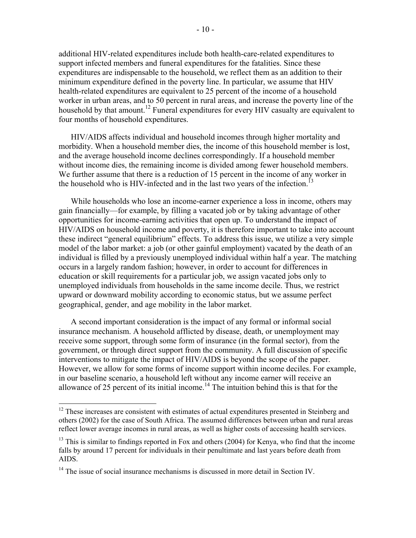additional HIV-related expenditures include both health-care-related expenditures to support infected members and funeral expenditures for the fatalities. Since these expenditures are indispensable to the household, we reflect them as an addition to their minimum expenditure defined in the poverty line. In particular, we assume that HIV health-related expenditures are equivalent to 25 percent of the income of a household worker in urban areas, and to 50 percent in rural areas, and increase the poverty line of the household by that amount.<sup>12</sup> Funeral expenditures for every HIV casualty are equivalent to

four months of household expenditures.

HIV/AIDS affects individual and household incomes through higher mortality and morbidity. When a household member dies, the income of this household member is lost, and the average household income declines correspondingly. If a household member without income dies, the remaining income is divided among fewer household members. We further assume that there is a reduction of 15 percent in the income of any worker in the household who is HIV-infected and in the last two years of the infection.<sup>13</sup>

While households who lose an income-earner experience a loss in income, others may gain financially—for example, by filling a vacated job or by taking advantage of other opportunities for income-earning activities that open up. To understand the impact of HIV/AIDS on household income and poverty, it is therefore important to take into account these indirect "general equilibrium" effects. To address this issue, we utilize a very simple model of the labor market: a job (or other gainful employment) vacated by the death of an individual is filled by a previously unemployed individual within half a year. The matching occurs in a largely random fashion; however, in order to account for differences in education or skill requirements for a particular job, we assign vacated jobs only to unemployed individuals from households in the same income decile. Thus, we restrict upward or downward mobility according to economic status, but we assume perfect geographical, gender, and age mobility in the labor market.

A second important consideration is the impact of any formal or informal social insurance mechanism. A household afflicted by disease, death, or unemployment may receive some support, through some form of insurance (in the formal sector), from the government, or through direct support from the community. A full discussion of specific interventions to mitigate the impact of HIV/AIDS is beyond the scope of the paper. However, we allow for some forms of income support within income deciles. For example, in our baseline scenario, a household left without any income earner will receive an allowance of 25 percent of its initial income.<sup>14</sup> The intuition behind this is that for the

 $12$  These increases are consistent with estimates of actual expenditures presented in Steinberg and others (2002) for the case of South Africa. The assumed differences between urban and rural areas reflect lower average incomes in rural areas, as well as higher costs of accessing health services.

<sup>&</sup>lt;sup>13</sup> This is similar to findings reported in Fox and others (2004) for Kenya, who find that the income falls by around 17 percent for individuals in their penultimate and last years before death from AIDS.

<sup>&</sup>lt;sup>14</sup> The issue of social insurance mechanisms is discussed in more detail in Section IV.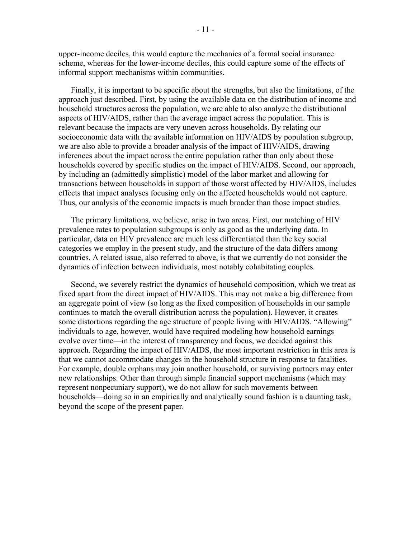upper-income deciles, this would capture the mechanics of a formal social insurance scheme, whereas for the lower-income deciles, this could capture some of the effects of informal support mechanisms within communities.

Finally, it is important to be specific about the strengths, but also the limitations, of the approach just described. First, by using the available data on the distribution of income and household structures across the population, we are able to also analyze the distributional aspects of HIV/AIDS, rather than the average impact across the population. This is relevant because the impacts are very uneven across households. By relating our socioeconomic data with the available information on HIV/AIDS by population subgroup, we are also able to provide a broader analysis of the impact of HIV/AIDS, drawing inferences about the impact across the entire population rather than only about those households covered by specific studies on the impact of HIV/AIDS. Second, our approach, by including an (admittedly simplistic) model of the labor market and allowing for transactions between households in support of those worst affected by HIV/AIDS, includes effects that impact analyses focusing only on the affected households would not capture. Thus, our analysis of the economic impacts is much broader than those impact studies.

The primary limitations, we believe, arise in two areas. First, our matching of HIV prevalence rates to population subgroups is only as good as the underlying data. In particular, data on HIV prevalence are much less differentiated than the key social categories we employ in the present study, and the structure of the data differs among countries. A related issue, also referred to above, is that we currently do not consider the dynamics of infection between individuals, most notably cohabitating couples.

Second, we severely restrict the dynamics of household composition, which we treat as fixed apart from the direct impact of HIV/AIDS. This may not make a big difference from an aggregate point of view (so long as the fixed composition of households in our sample continues to match the overall distribution across the population). However, it creates some distortions regarding the age structure of people living with HIV/AIDS. "Allowing" individuals to age, however, would have required modeling how household earnings evolve over time—in the interest of transparency and focus, we decided against this approach. Regarding the impact of HIV/AIDS, the most important restriction in this area is that we cannot accommodate changes in the household structure in response to fatalities. For example, double orphans may join another household, or surviving partners may enter new relationships. Other than through simple financial support mechanisms (which may represent nonpecuniary support), we do not allow for such movements between households—doing so in an empirically and analytically sound fashion is a daunting task, beyond the scope of the present paper.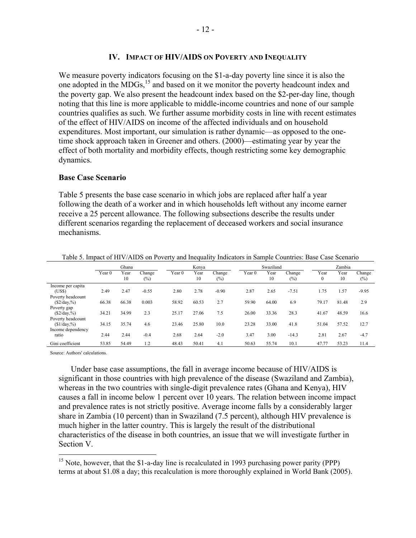#### **IV. IMPACT OF HIV/AIDS ON POVERTY AND INEQUALITY**

We measure poverty indicators focusing on the \$1-a-day poverty line since it is also the one adopted in the MDGs,15 and based on it we monitor the poverty headcount index and the poverty gap. We also present the headcount index based on the \$2-per-day line, though noting that this line is more applicable to middle-income countries and none of our sample countries qualifies as such. We further assume morbidity costs in line with recent estimates of the effect of HIV/AIDS on income of the affected individuals and on household expenditures. Most important, our simulation is rather dynamic—as opposed to the onetime shock approach taken in Greener and others. (2000)—estimating year by year the effect of both mortality and morbidity effects, though restricting some key demographic dynamics.

#### **Base Case Scenario**

Table 5 presents the base case scenario in which jobs are replaced after half a year following the death of a worker and in which households left without any income earner receive a 25 percent allowance. The following subsections describe the results under different scenarios regarding the replacement of deceased workers and social insurance mechanisms.

|                                      | Ghana             |            |                  |                   | Kenva      |                  |                   | Swaziland  |                  |                      | Zambia     |                  |  |
|--------------------------------------|-------------------|------------|------------------|-------------------|------------|------------------|-------------------|------------|------------------|----------------------|------------|------------------|--|
|                                      | Year <sub>0</sub> | Year<br>10 | Change<br>$(\%)$ | Year <sub>0</sub> | Year<br>10 | Change<br>$(\%)$ | Year <sub>0</sub> | Year<br>10 | Change<br>$(\%)$ | Year<br>$\mathbf{0}$ | Year<br>10 | Change<br>$(\%)$ |  |
| Income per capita<br>(US\$)          | 2.49              | 2.47       | $-0.55$          | 2.80              | 2.78       | $-0.90$          | 2.87              | 2.65       | $-7.51$          | 1.75                 | 1.57       | $-9.95$          |  |
| Poverty headcount<br>$(\$2/day,\% )$ | 66.38             | 66.38      | 0.003            | 58.92             | 60.53      | 2.7              | 59.90             | 64.00      | 6.9              | 79.17                | 81.48      | 2.9              |  |
| Poverty gap<br>(S2/day, %)           | 34.21             | 34.99      | 2.3              | 25.17             | 27.06      | 7.5              | 26.00             | 33.36      | 28.3             | 41.67                | 48.59      | 16.6             |  |
| Poverty headcount<br>$$1/day,\%$     | 34.15             | 35.74      | 4.6              | 23.46             | 25.80      | 10.0             | 23.28             | 33.00      | 41.8             | 51.04                | 57.52      | 12.7             |  |
| Income dependency<br>ratio           | 2.44              | 2.44       | $-0.4$           | 2.68              | 2.64       | $-2.0$           | 3.47              | 3.00       | $-14.3$          | 2.81                 | 2.67       | $-4.7$           |  |
| Gini coefficient                     | 53.85             | 54.49      | 1.2              | 48.43             | 50.41      | 4.1              | 50.63             | 55.74      | 10.1             | 47.77                | 53.23      | 11.4             |  |

Table 5. Impact of HIV/AIDS on Poverty and Inequality Indicators in Sample Countries: Base Case Scenario

Source: Authors' calculations.

 $\overline{a}$ 

Under base case assumptions, the fall in average income because of HIV/AIDS is significant in those countries with high prevalence of the disease (Swaziland and Zambia), whereas in the two countries with single-digit prevalence rates (Ghana and Kenya), HIV causes a fall in income below 1 percent over 10 years. The relation between income impact and prevalence rates is not strictly positive. Average income falls by a considerably larger share in Zambia (10 percent) than in Swaziland (7.5 percent), although HIV prevalence is much higher in the latter country. This is largely the result of the distributional characteristics of the disease in both countries, an issue that we will investigate further in Section V.

<sup>&</sup>lt;sup>15</sup> Note, however, that the \$1-a-day line is recalculated in 1993 purchasing power parity (PPP) terms at about \$1.08 a day; this recalculation is more thoroughly explained in World Bank (2005).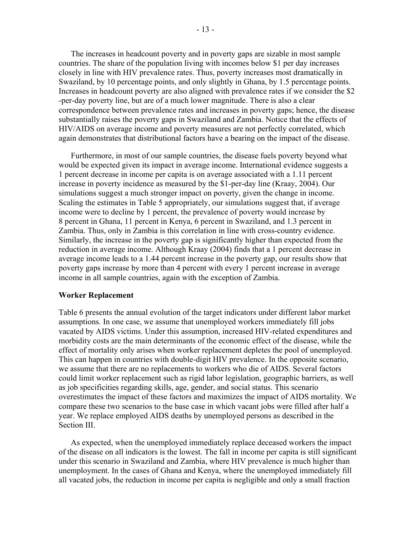The increases in headcount poverty and in poverty gaps are sizable in most sample countries. The share of the population living with incomes below \$1 per day increases closely in line with HIV prevalence rates. Thus, poverty increases most dramatically in Swaziland, by 10 percentage points, and only slightly in Ghana, by 1.5 percentage points. Increases in headcount poverty are also aligned with prevalence rates if we consider the \$2 -per-day poverty line, but are of a much lower magnitude. There is also a clear correspondence between prevalence rates and increases in poverty gaps; hence, the disease substantially raises the poverty gaps in Swaziland and Zambia. Notice that the effects of HIV/AIDS on average income and poverty measures are not perfectly correlated, which again demonstrates that distributional factors have a bearing on the impact of the disease.

Furthermore, in most of our sample countries, the disease fuels poverty beyond what would be expected given its impact in average income. International evidence suggests a 1 percent decrease in income per capita is on average associated with a 1.11 percent increase in poverty incidence as measured by the \$1-per-day line (Kraay, 2004). Our simulations suggest a much stronger impact on poverty, given the change in income. Scaling the estimates in Table 5 appropriately, our simulations suggest that, if average income were to decline by 1 percent, the prevalence of poverty would increase by 8 percent in Ghana, 11 percent in Kenya, 6 percent in Swaziland, and 1.3 percent in Zambia. Thus, only in Zambia is this correlation in line with cross-country evidence. Similarly, the increase in the poverty gap is significantly higher than expected from the reduction in average income. Although Kraay (2004) finds that a 1 percent decrease in average income leads to a 1.44 percent increase in the poverty gap, our results show that poverty gaps increase by more than 4 percent with every 1 percent increase in average income in all sample countries, again with the exception of Zambia.

#### **Worker Replacement**

Table 6 presents the annual evolution of the target indicators under different labor market assumptions. In one case, we assume that unemployed workers immediately fill jobs vacated by AIDS victims. Under this assumption, increased HIV-related expenditures and morbidity costs are the main determinants of the economic effect of the disease, while the effect of mortality only arises when worker replacement depletes the pool of unemployed. This can happen in countries with double-digit HIV prevalence. In the opposite scenario, we assume that there are no replacements to workers who die of AIDS. Several factors could limit worker replacement such as rigid labor legislation, geographic barriers, as well as job specificities regarding skills, age, gender, and social status. This scenario overestimates the impact of these factors and maximizes the impact of AIDS mortality. We compare these two scenarios to the base case in which vacant jobs were filled after half a year. We replace employed AIDS deaths by unemployed persons as described in the Section III.

As expected, when the unemployed immediately replace deceased workers the impact of the disease on all indicators is the lowest. The fall in income per capita is still significant under this scenario in Swaziland and Zambia, where HIV prevalence is much higher than unemployment. In the cases of Ghana and Kenya, where the unemployed immediately fill all vacated jobs, the reduction in income per capita is negligible and only a small fraction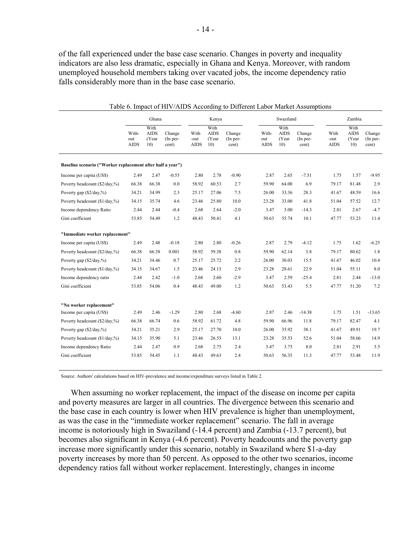of the fall experienced under the base case scenario. Changes in poverty and inequality indicators are also less dramatic, especially in Ghana and Kenya. Moreover, with random unemployed household members taking over vacated jobs, the income dependency ratio falls considerably more than in the base case scenario.

|                                                            | Ghana        |                              |                    |              | Kenya                        |                      |              | Swaziland                    |                      |              | Zambia                       |                    |  |  |
|------------------------------------------------------------|--------------|------------------------------|--------------------|--------------|------------------------------|----------------------|--------------|------------------------------|----------------------|--------------|------------------------------|--------------------|--|--|
|                                                            | With-<br>out | With<br><b>AIDS</b><br>(Year | Change<br>(In per- | With<br>-out | With<br><b>AIDS</b><br>(Year | Change<br>$(In per-$ | With-<br>out | With<br><b>AIDS</b><br>(Year | Change<br>$(In per-$ | With<br>-out | With<br><b>AIDS</b><br>(Year | Change<br>(In per- |  |  |
|                                                            | <b>AIDS</b>  | 10)                          | cent)              | <b>AIDS</b>  | 10)                          | cent)                | <b>AIDS</b>  | 10)                          | cent)                | AIDS         | 10)                          | cent)              |  |  |
| Baseline scenario ("Worker replacement after half a year") |              |                              |                    |              |                              |                      |              |                              |                      |              |                              |                    |  |  |
| Income per capita (US\$)                                   | 2.49         | 2.47                         | $-0.55$            | 2.80         | 2.78                         | $-0.90$              | 2.87         | 2.65                         | $-7.51$              | 1.75         | 1.57                         | $-9.95$            |  |  |
| Poverty headcount (\$2/day,%)                              | 66.38        | 66.38                        | 0.0                | 58.92        | 60.53                        | 2.7                  | 59.90        | 64.00                        | 6.9                  | 79.17        | 81.48                        | 2.9                |  |  |
| Poverty gap (\$2/day,%)                                    | 34.21        | 34.99                        | 2.3                | 25.17        | 27.06                        | 7.5                  | 26.00        | 33.36                        | 28.3                 | 41.67        | 48.59                        | 16.6               |  |  |
| Poverty headcount (\$1/day,%)                              | 34.15        | 35.74                        | 4.6                | 23.46        | 25.80                        | 10.0                 | 23.28        | 33.00                        | 41.8                 | 51.04        | 57.52                        | 12.7               |  |  |
| Income dependency Ratio                                    | 2.44         | 2.44                         | $-0.4$             | 2.68         | 2.64                         | $-2.0$               | 3.47         | 3.00                         | $-14.3$              | 2.81         | 2.67                         | $-4.7$             |  |  |
| Gini coefficient                                           | 53.85        | 54.49                        | 1.2                | 48.43        | 50.41                        | 4.1                  | 50.63        | 55.74                        | 10.1                 | 47.77        | 53.23                        | 11.4               |  |  |
| "Immediate worker replacement"                             |              |                              |                    |              |                              |                      |              |                              |                      |              |                              |                    |  |  |
| Income per capita (US\$)                                   | 2.49         | 2.48                         | $-0.18$            | 2.80         | 2.80                         | $-0.26$              | 2.87         | 2.79                         | $-4.12$              | 1.75         | 1.62                         | $-6.25$            |  |  |
| Poverty headcount (\$2/day,%)                              | 66.38        | 66.38                        | 0.001              | 58.92        | 59.38                        | 0.8                  | 59.90        | 62.14                        | 3.8                  | 79.17        | 80.62                        | 1.8                |  |  |
| Poverty gap (\$2/day,%)                                    | 34.21        | 34.46                        | 0.7                | 25.17        | 25.72                        | 2.2                  | 26.00        | 30.03                        | 15.5                 | 41.67        | 46.02                        | 10.4               |  |  |
| Poverty headcount (\$1/day,%)                              | 34.15        | 34.67                        | 1.5                | 23.46        | 24.13                        | 2.9                  | 23.28        | 28.61                        | 22.9                 | 51.04        | 55.11                        | 8.0                |  |  |
| Income dependency ratio                                    | 2.44         | 2.42                         | $-1.0$             | 2.68         | 2.60                         | $-2.9$               | 3.47         | 2.59                         | $-25.4$              | 2.81         | 2.44                         | $-13.0$            |  |  |
| Gini coefficient                                           | 53.85        | 54.06                        | 0.4                | 48.43        | 49.00                        | 1.2                  | 50.63        | 53.43                        | 5.5                  | 47.77        | 51.20                        | 7.2                |  |  |
| "No worker replacement"                                    |              |                              |                    |              |                              |                      |              |                              |                      |              |                              |                    |  |  |
| Income per capita (US\$)                                   | 2.49         | 2.46                         | $-1.29$            | 2.80         | 2.68                         | $-4.60$              | 2.87         | 2.46                         | $-14.38$             | 1.75         | 1.51                         | $-13.65$           |  |  |
| Poverty headcount (\$2/day,%)                              | 66.38        | 66.74                        | 0.6                | 58.92        | 61.72                        | 4.8                  | 59.90        | 66.96                        | 11.8                 | 79.17        | 82.47                        | 4.1                |  |  |
| Poverty gap (\$2/day,%)                                    | 34.21        | 35.21                        | 2.9                | 25.17        | 27.70                        | 10.0                 | 26.00        | 35.92                        | 38.1                 | 41.67        | 49.91                        | 19.7               |  |  |
| Poverty headcount (\$1/day,%)                              | 34.15        | 35.90                        | 5.1                | 23.46        | 26.53                        | 13.1                 | 23.28        | 35.53                        | 52.6                 | 51.04        | 58.66                        | 14.9               |  |  |
| Income dependency Ratio                                    | 2.44         | 2.47                         | 0.9                | 2.68         | 2.75                         | 2.4                  | 3.47         | 3.75                         | 8.0                  | 2.81         | 2.91                         | 3.5                |  |  |
| Gini coefficient                                           | 53.85        | 54.45                        | 1.1                | 48.43        | 49.63                        | 2.4                  | 50.63        | 56.35                        | 11.3                 | 47.77        | 53.48                        | 11.9               |  |  |

Table 6. Impact of HIV/AIDS According to Different Labor Market Assumptions

Source: Authors' calculations based on HIV-prevalence and income/expenditure surveys listed in Table 2.

When assuming no worker replacement, the impact of the disease on income per capita and poverty measures are larger in all countries. The divergence between this scenario and the base case in each country is lower when HIV prevalence is higher than unemployment, as was the case in the "immediate worker replacement" scenario. The fall in average income is notoriously high in Swaziland (-14.4 percent) and Zambia (-13.7 percent), but becomes also significant in Kenya (-4.6 percent). Poverty headcounts and the poverty gap increase more significantly under this scenario, notably in Swaziland where \$1-a-day poverty increases by more than 50 percent. As opposed to the other two scenarios, income dependency ratios fall without worker replacement. Interestingly, changes in income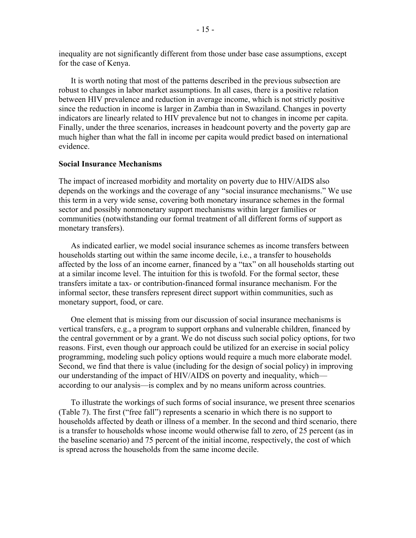inequality are not significantly different from those under base case assumptions, except for the case of Kenya.

It is worth noting that most of the patterns described in the previous subsection are robust to changes in labor market assumptions. In all cases, there is a positive relation between HIV prevalence and reduction in average income, which is not strictly positive since the reduction in income is larger in Zambia than in Swaziland. Changes in poverty indicators are linearly related to HIV prevalence but not to changes in income per capita. Finally, under the three scenarios, increases in headcount poverty and the poverty gap are much higher than what the fall in income per capita would predict based on international evidence.

#### **Social Insurance Mechanisms**

The impact of increased morbidity and mortality on poverty due to HIV/AIDS also depends on the workings and the coverage of any "social insurance mechanisms." We use this term in a very wide sense, covering both monetary insurance schemes in the formal sector and possibly nonmonetary support mechanisms within larger families or communities (notwithstanding our formal treatment of all different forms of support as monetary transfers).

As indicated earlier, we model social insurance schemes as income transfers between households starting out within the same income decile, i.e., a transfer to households affected by the loss of an income earner, financed by a "tax" on all households starting out at a similar income level. The intuition for this is twofold. For the formal sector, these transfers imitate a tax- or contribution-financed formal insurance mechanism. For the informal sector, these transfers represent direct support within communities, such as monetary support, food, or care.

One element that is missing from our discussion of social insurance mechanisms is vertical transfers, e.g., a program to support orphans and vulnerable children, financed by the central government or by a grant. We do not discuss such social policy options, for two reasons. First, even though our approach could be utilized for an exercise in social policy programming, modeling such policy options would require a much more elaborate model. Second, we find that there is value (including for the design of social policy) in improving our understanding of the impact of HIV/AIDS on poverty and inequality, which according to our analysis—is complex and by no means uniform across countries.

To illustrate the workings of such forms of social insurance, we present three scenarios (Table 7). The first ("free fall") represents a scenario in which there is no support to households affected by death or illness of a member. In the second and third scenario, there is a transfer to households whose income would otherwise fall to zero, of 25 percent (as in the baseline scenario) and 75 percent of the initial income, respectively, the cost of which is spread across the households from the same income decile.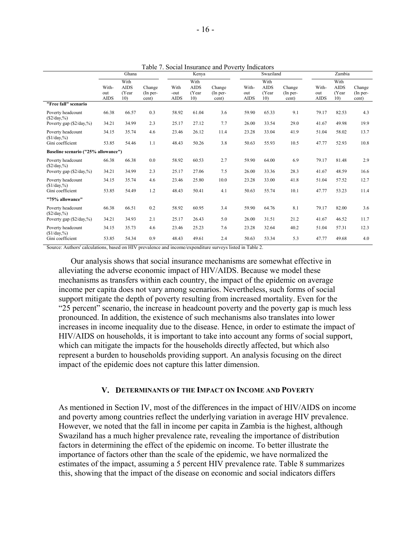|                                            |                             | Ghana                                           |                             |                             | Table 7. Social msurance and I overly multators<br>Swaziland<br>Kenya |                             |                             |                                                  |                               | Zambia                      |                                     |                               |  |
|--------------------------------------------|-----------------------------|-------------------------------------------------|-----------------------------|-----------------------------|-----------------------------------------------------------------------|-----------------------------|-----------------------------|--------------------------------------------------|-------------------------------|-----------------------------|-------------------------------------|-------------------------------|--|
|                                            | With-<br>out<br><b>AIDS</b> | With<br><b>AIDS</b><br>(Year<br>10 <sub>0</sub> | Change<br>(In per-<br>cent) | With<br>-out<br><b>AIDS</b> | With<br><b>AIDS</b><br>(Year<br>10)                                   | Change<br>(In per-<br>cent) | With-<br>out<br><b>AIDS</b> | With<br><b>AIDS</b><br>(Year)<br>10 <sub>0</sub> | Change<br>$(In per-$<br>cent) | With-<br>out<br><b>AIDS</b> | With<br><b>AIDS</b><br>(Year<br>10) | Change<br>$(In per-$<br>cent) |  |
| "Free fall" scenario                       |                             |                                                 |                             |                             |                                                                       |                             |                             |                                                  |                               |                             |                                     |                               |  |
| Poverty headcount<br>$(S2/day,\%)$         | 66.38                       | 66.57                                           | 0.3                         | 58.92                       | 61.04                                                                 | 3.6                         | 59.90                       | 65.33                                            | 9.1                           | 79.17                       | 82.53                               | 4.3                           |  |
| Poverty gap (\$2/day,%)                    | 34.21                       | 34.99                                           | 2.3                         | 25.17                       | 27.12                                                                 | 7.7                         | 26.00                       | 33.54                                            | 29.0                          | 41.67                       | 49.98                               | 19.9                          |  |
| Poverty headcount<br>$$1/day, \%$          | 34.15                       | 35.74                                           | 4.6                         | 23.46                       | 26.12                                                                 | 11.4                        | 23.28                       | 33.04                                            | 41.9                          | 51.04                       | 58.02                               | 13.7                          |  |
| Gini coefficient                           | 53.85                       | 54.46                                           | 1.1                         | 48.43                       | 50.26                                                                 | 3.8                         | 50.63                       | 55.93                                            | 10.5                          | 47.77                       | 52.93                               | 10.8                          |  |
| Baseline scenario ("25% allowance")        |                             |                                                 |                             |                             |                                                                       |                             |                             |                                                  |                               |                             |                                     |                               |  |
| Poverty headcount<br>$(\$2/day,\% )$       | 66.38                       | 66.38                                           | 0.0                         | 58.92                       | 60.53                                                                 | 2.7                         | 59.90                       | 64.00                                            | 6.9                           | 79.17                       | 81.48                               | 2.9                           |  |
| Poverty gap $(\frac{2}{day}, \frac{9}{6})$ | 34.21                       | 34.99                                           | 2.3                         | 25.17                       | 27.06                                                                 | 7.5                         | 26.00                       | 33.36                                            | 28.3                          | 41.67                       | 48.59                               | 16.6                          |  |
| Poverty headcount<br>$$1/day, \%$          | 34.15                       | 35.74                                           | 4.6                         | 23.46                       | 25.80                                                                 | 10.0                        | 23.28                       | 33.00                                            | 41.8                          | 51.04                       | 57.52                               | 12.7                          |  |
| Gini coefficient                           | 53.85                       | 54.49                                           | 1.2                         | 48.43                       | 50.41                                                                 | 4.1                         | 50.63                       | 55.74                                            | 10.1                          | 47.77                       | 53.23                               | 11.4                          |  |
| "75% allowance"                            |                             |                                                 |                             |                             |                                                                       |                             |                             |                                                  |                               |                             |                                     |                               |  |
| Poverty headcount<br>$(\$2/day,\% )$       | 66.38                       | 66.51                                           | 0.2                         | 58.92                       | 60.95                                                                 | 3.4                         | 59.90                       | 64.76                                            | 8.1                           | 79.17                       | 82.00                               | 3.6                           |  |
| Poverty gap $(\frac{2}{day}, \frac{9}{6})$ | 34.21                       | 34.93                                           | 2.1                         | 25.17                       | 26.43                                                                 | 5.0                         | 26.00                       | 31.51                                            | 21.2                          | 41.67                       | 46.52                               | 11.7                          |  |
| Poverty headcount<br>$($1/day, \%)$        | 34.15                       | 35.73                                           | 4.6                         | 23.46                       | 25.23                                                                 | 7.6                         | 23.28                       | 32.64                                            | 40.2                          | 51.04                       | 57.31                               | 12.3                          |  |
| Gini coefficient                           | 53.85                       | 54.34                                           | 0.9                         | 48.43                       | 49.61                                                                 | 2.4                         | 50.63                       | 53.34                                            | 5.3                           | 47.77                       | 49.68                               | 4.0                           |  |

Table 7. Social Insurance and Poverty Indicators

Source: Authors' calculations, based on HIV prevalence and income/expenditure surveys listed in Table 2.

Our analysis shows that social insurance mechanisms are somewhat effective in alleviating the adverse economic impact of HIV/AIDS. Because we model these mechanisms as transfers within each country, the impact of the epidemic on average income per capita does not vary among scenarios. Nevertheless, such forms of social support mitigate the depth of poverty resulting from increased mortality. Even for the "25 percent" scenario, the increase in headcount poverty and the poverty gap is much less pronounced. In addition, the existence of such mechanisms also translates into lower increases in income inequality due to the disease. Hence, in order to estimate the impact of HIV/AIDS on households, it is important to take into account any forms of social support, which can mitigate the impacts for the households directly affected, but which also represent a burden to households providing support. An analysis focusing on the direct impact of the epidemic does not capture this latter dimension.

#### **V. DETERMINANTS OF THE IMPACT ON INCOME AND POVERTY**

As mentioned in Section IV, most of the differences in the impact of HIV/AIDS on income and poverty among countries reflect the underlying variation in average HIV prevalence. However, we noted that the fall in income per capita in Zambia is the highest, although Swaziland has a much higher prevalence rate, revealing the importance of distribution factors in determining the effect of the epidemic on income. To better illustrate the importance of factors other than the scale of the epidemic, we have normalized the estimates of the impact, assuming a 5 percent HIV prevalence rate. Table 8 summarizes this, showing that the impact of the disease on economic and social indicators differs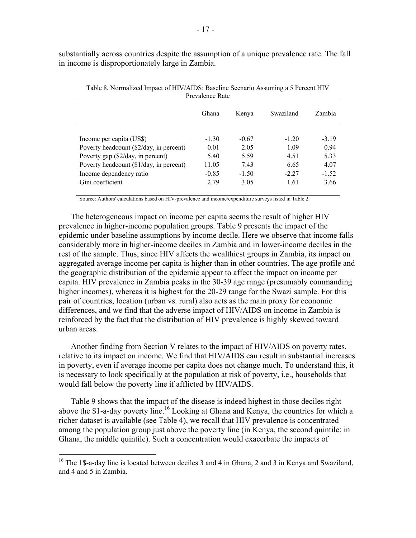substantially across countries despite the assumption of a unique prevalence rate. The fall in income is disproportionately large in Zambia.

|                                         | Ghana   | Kenya   | Swaziland | Zambia  |
|-----------------------------------------|---------|---------|-----------|---------|
|                                         |         |         |           |         |
| Income per capita (US\$)                | $-1.30$ | $-0.67$ | $-120$    | $-3.19$ |
| Poverty headcount (\$2/day, in percent) | 0.01    | 2.05    | 1.09      | 0.94    |
| Poverty gap (\$2/day, in percent)       | 5.40    | 5.59    | 4.51      | 5.33    |
| Poverty headcount (\$1/day, in percent) | 11.05   | 743     | 6.65      | 4.07    |
| Income dependency ratio                 | $-0.85$ | $-1.50$ | $-2.27$   | $-1.52$ |
| Gini coefficient                        | 2.79    | 3.05    | 1.61      | 3.66    |

Table 8. Normalized Impact of HIV/AIDS: Baseline Scenario Assuming a 5 Percent HIV Prevalence Rate

Source: Authors' calculations based on HIV-prevalence and income/expenditure surveys listed in Table 2.

The heterogeneous impact on income per capita seems the result of higher HIV prevalence in higher-income population groups. Table 9 presents the impact of the epidemic under baseline assumptions by income decile. Here we observe that income falls considerably more in higher-income deciles in Zambia and in lower-income deciles in the rest of the sample. Thus, since HIV affects the wealthiest groups in Zambia, its impact on aggregated average income per capita is higher than in other countries. The age profile and the geographic distribution of the epidemic appear to affect the impact on income per capita. HIV prevalence in Zambia peaks in the 30-39 age range (presumably commanding higher incomes), whereas it is highest for the 20-29 range for the Swazi sample. For this pair of countries, location (urban vs. rural) also acts as the main proxy for economic differences, and we find that the adverse impact of HIV/AIDS on income in Zambia is reinforced by the fact that the distribution of HIV prevalence is highly skewed toward urban areas.

Another finding from Section V relates to the impact of HIV/AIDS on poverty rates, relative to its impact on income. We find that HIV/AIDS can result in substantial increases in poverty, even if average income per capita does not change much. To understand this, it is necessary to look specifically at the population at risk of poverty, i.e., households that would fall below the poverty line if afflicted by HIV/AIDS.

Table 9 shows that the impact of the disease is indeed highest in those deciles right above the \$1-a-day poverty line.<sup>16</sup> Looking at Ghana and Kenya, the countries for which a richer dataset is available (see Table 4), we recall that HIV prevalence is concentrated among the population group just above the poverty line (in Kenya, the second quintile; in Ghana, the middle quintile). Such a concentration would exacerbate the impacts of

<sup>&</sup>lt;sup>16</sup> The 1\$-a-day line is located between deciles 3 and 4 in Ghana, 2 and 3 in Kenya and Swaziland, and 4 and 5 in Zambia.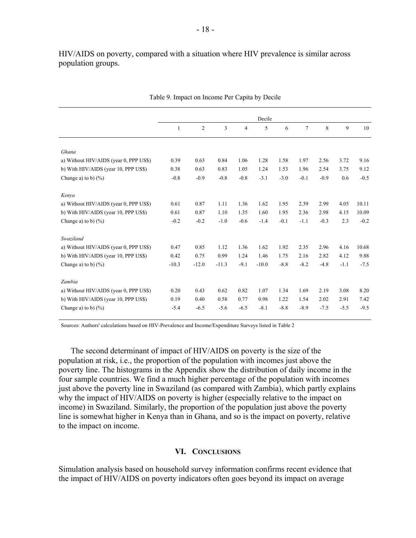HIV/AIDS on poverty, compared with a situation where HIV prevalence is similar across population groups.

|                                        | Decile       |                |         |        |         |        |                |        |        |        |
|----------------------------------------|--------------|----------------|---------|--------|---------|--------|----------------|--------|--------|--------|
|                                        | $\mathbf{1}$ | $\mathfrak{2}$ | 3       | 4      | 5       | 6      | $\overline{7}$ | 8      | 9      | 10     |
|                                        |              |                |         |        |         |        |                |        |        |        |
| Ghana                                  |              |                |         |        |         |        |                |        |        |        |
| a) Without HIV/AIDS (year 0, PPP US\$) | 0.39         | 0.63           | 0.84    | 1.06   | 1.28    | 1.58   | 1.97           | 2.56   | 3.72   | 9.16   |
| b) With HIV/AIDS (year 10, PPP US\$)   | 0.38         | 0.63           | 0.83    | 1.05   | 1.24    | 1.53   | 1.96           | 2.54   | 3.75   | 9.12   |
| Change a) to b) $(\frac{9}{6})$        | $-0.8$       | $-0.9$         | $-0.8$  | $-0.8$ | $-3.1$  | $-3.0$ | $-0.1$         | $-0.9$ | 0.6    | $-0.5$ |
|                                        |              |                |         |        |         |        |                |        |        |        |
| Kenya                                  |              |                |         |        |         |        |                |        |        |        |
| a) Without HIV/AIDS (year 0, PPP US\$) | 0.61         | 0.87           | 1.11    | 1.36   | 1.62    | 1.95   | 2.39           | 2.99   | 4.05   | 10.11  |
| b) With HIV/AIDS (year 10, PPP US\$)   | 0.61         | 0.87           | 1.10    | 1.35   | 1.60    | 1.95   | 2.36           | 2.98   | 4.15   | 10.09  |
| Change a) to b) $(\frac{9}{6})$        | $-0.2$       | $-0.2$         | $-1.0$  | $-0.6$ | $-1.4$  | $-0.1$ | $-1.1$         | $-0.3$ | 2.3    | $-0.2$ |
|                                        |              |                |         |        |         |        |                |        |        |        |
| Swaziland                              |              |                |         |        |         |        |                |        |        |        |
| a) Without HIV/AIDS (year 0, PPP US\$) | 0.47         | 0.85           | 1.12    | 1.36   | 1.62    | 1.92   | 2.35           | 2.96   | 4.16   | 10.68  |
| b) With HIV/AIDS (year 10, PPP US\$)   | 0.42         | 0.75           | 0.99    | 1.24   | 1.46    | 1.75   | 2.16           | 2.82   | 4.12   | 9.88   |
| Change a) to b) $(\% )$                | $-10.3$      | $-12.0$        | $-11.3$ | $-9.1$ | $-10.0$ | $-8.8$ | $-8.2$         | $-4.8$ | $-1.1$ | $-7.5$ |
|                                        |              |                |         |        |         |        |                |        |        |        |
| Zambia                                 |              |                |         |        |         |        |                |        |        |        |
| a) Without HIV/AIDS (year 0, PPP US\$) | 0.20         | 0.43           | 0.62    | 0.82   | 1.07    | 1.34   | 1.69           | 2.19   | 3.08   | 8.20   |
| b) With HIV/AIDS (year 10, PPP US\$)   | 0.19         | 0.40           | 0.58    | 0.77   | 0.98    | 1.22   | 1.54           | 2.02   | 2.91   | 7.42   |
| Change a) to b) $(\% )$                | $-5.4$       | $-6.5$         | $-5.6$  | $-6.5$ | $-8.1$  | $-8.8$ | $-8.9$         | $-7.5$ | $-5.5$ | $-9.5$ |
|                                        |              |                |         |        |         |        |                |        |        |        |

Table 9. Impact on Income Per Capita by Decile

Sources: Authors' calculations based on HIV-Prevalence and Income/Expenditure Surveys listed in Table 2

The second determinant of impact of HIV/AIDS on poverty is the size of the population at risk, i.e., the proportion of the population with incomes just above the poverty line. The histograms in the Appendix show the distribution of daily income in the four sample countries. We find a much higher percentage of the population with incomes just above the poverty line in Swaziland (as compared with Zambia), which partly explains why the impact of HIV/AIDS on poverty is higher (especially relative to the impact on income) in Swaziland. Similarly, the proportion of the population just above the poverty line is somewhat higher in Kenya than in Ghana, and so is the impact on poverty, relative to the impact on income.

#### **VI. CONCLUSIONS**

Simulation analysis based on household survey information confirms recent evidence that the impact of HIV/AIDS on poverty indicators often goes beyond its impact on average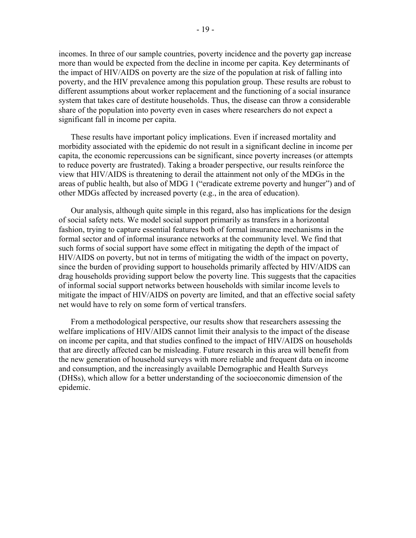incomes. In three of our sample countries, poverty incidence and the poverty gap increase more than would be expected from the decline in income per capita. Key determinants of the impact of HIV/AIDS on poverty are the size of the population at risk of falling into poverty, and the HIV prevalence among this population group. These results are robust to different assumptions about worker replacement and the functioning of a social insurance system that takes care of destitute households. Thus, the disease can throw a considerable share of the population into poverty even in cases where researchers do not expect a significant fall in income per capita.

These results have important policy implications. Even if increased mortality and morbidity associated with the epidemic do not result in a significant decline in income per capita, the economic repercussions can be significant, since poverty increases (or attempts to reduce poverty are frustrated). Taking a broader perspective, our results reinforce the view that HIV/AIDS is threatening to derail the attainment not only of the MDGs in the areas of public health, but also of MDG 1 ("eradicate extreme poverty and hunger") and of other MDGs affected by increased poverty (e.g., in the area of education).

Our analysis, although quite simple in this regard, also has implications for the design of social safety nets. We model social support primarily as transfers in a horizontal fashion, trying to capture essential features both of formal insurance mechanisms in the formal sector and of informal insurance networks at the community level. We find that such forms of social support have some effect in mitigating the depth of the impact of HIV/AIDS on poverty, but not in terms of mitigating the width of the impact on poverty, since the burden of providing support to households primarily affected by HIV/AIDS can drag households providing support below the poverty line. This suggests that the capacities of informal social support networks between households with similar income levels to mitigate the impact of HIV/AIDS on poverty are limited, and that an effective social safety net would have to rely on some form of vertical transfers.

From a methodological perspective, our results show that researchers assessing the welfare implications of HIV/AIDS cannot limit their analysis to the impact of the disease on income per capita, and that studies confined to the impact of HIV/AIDS on households that are directly affected can be misleading. Future research in this area will benefit from the new generation of household surveys with more reliable and frequent data on income and consumption, and the increasingly available Demographic and Health Surveys (DHSs), which allow for a better understanding of the socioeconomic dimension of the epidemic.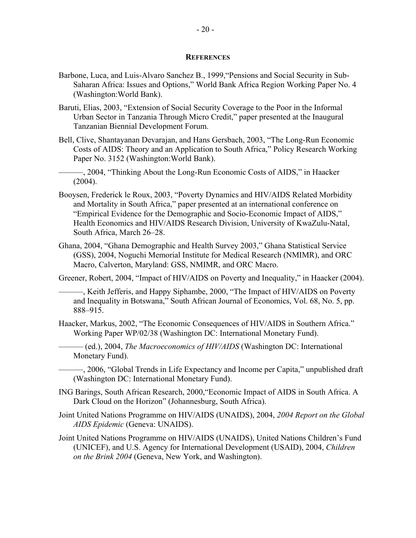- Barbone, Luca, and Luis-Alvaro Sanchez B., 1999,"Pensions and Social Security in Sub-Saharan Africa: Issues and Options," World Bank Africa Region Working Paper No. 4 (Washington:World Bank).
- Baruti, Elias, 2003, "Extension of Social Security Coverage to the Poor in the Informal Urban Sector in Tanzania Through Micro Credit," paper presented at the Inaugural Tanzanian Biennial Development Forum.
- Bell, Clive, Shantayanan Devarajan, and Hans Gersbach, 2003, "The Long-Run Economic Costs of AIDS: Theory and an Application to South Africa," Policy Research Working Paper No. 3152 (Washington:World Bank).

———, 2004, "Thinking About the Long-Run Economic Costs of AIDS," in Haacker  $(2004)$ .

- Booysen, Frederick le Roux, 2003, "Poverty Dynamics and HIV/AIDS Related Morbidity and Mortality in South Africa," paper presented at an international conference on "Empirical Evidence for the Demographic and Socio-Economic Impact of AIDS," Health Economics and HIV/AIDS Research Division, University of KwaZulu-Natal, South Africa, March 26–28.
- Ghana, 2004, "Ghana Demographic and Health Survey 2003," Ghana Statistical Service (GSS), 2004, Noguchi Memorial Institute for Medical Research (NMIMR), and ORC Macro, Calverton, Maryland: GSS, NMIMR, and ORC Macro.

Greener, Robert, 2004, "Impact of HIV/AIDS on Poverty and Inequality," in Haacker (2004).

- ———, Keith Jefferis, and Happy Siphambe, 2000, "The Impact of HIV/AIDS on Poverty and Inequality in Botswana," South African Journal of Economics, Vol. 68, No. 5, pp. 888–915.
- Haacker, Markus, 2002, "The Economic Consequences of HIV/AIDS in Southern Africa." Working Paper WP/02/38 (Washington DC: International Monetary Fund).
	- ——— (ed.), 2004, *The Macroeconomics of HIV/AIDS* (Washington DC: International Monetary Fund).

———, 2006, "Global Trends in Life Expectancy and Income per Capita," unpublished draft (Washington DC: International Monetary Fund).

- ING Barings, South African Research, 2000,"Economic Impact of AIDS in South Africa. A Dark Cloud on the Horizon" (Johannesburg, South Africa).
- Joint United Nations Programme on HIV/AIDS (UNAIDS), 2004, *2004 Report on the Global AIDS Epidemic* (Geneva: UNAIDS).
- Joint United Nations Programme on HIV/AIDS (UNAIDS), United Nations Children's Fund (UNICEF), and U.S. Agency for International Development (USAID), 2004, *Children on the Brink 2004* (Geneva, New York, and Washington).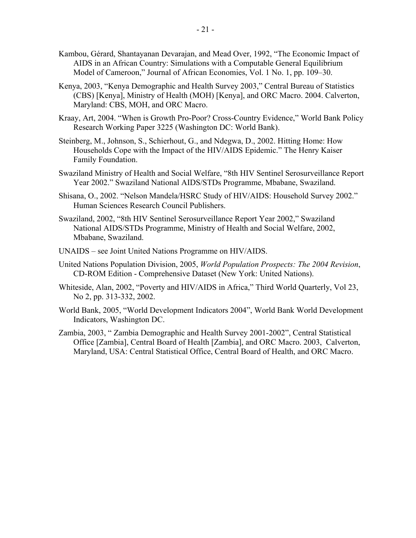- Kambou, Gérard, Shantayanan Devarajan, and Mead Over, 1992, "The Economic Impact of AIDS in an African Country: Simulations with a Computable General Equilibrium Model of Cameroon," Journal of African Economies, Vol. 1 No. 1, pp. 109–30.
- Kenya, 2003, "Kenya Demographic and Health Survey 2003," Central Bureau of Statistics (CBS) [Kenya], Ministry of Health (MOH) [Kenya], and ORC Macro. 2004. Calverton, Maryland: CBS, MOH, and ORC Macro.
- Kraay, Art, 2004. "When is Growth Pro-Poor? Cross-Country Evidence," World Bank Policy Research Working Paper 3225 (Washington DC: World Bank).
- Steinberg, M., Johnson, S., Schierhout, G., and Ndegwa, D., 2002. Hitting Home: How Households Cope with the Impact of the HIV/AIDS Epidemic." The Henry Kaiser Family Foundation.
- Swaziland Ministry of Health and Social Welfare, "8th HIV Sentinel Serosurveillance Report Year 2002." Swaziland National AIDS/STDs Programme, Mbabane, Swaziland.
- Shisana, O., 2002. "Nelson Mandela/HSRC Study of HIV/AIDS: Household Survey 2002." Human Sciences Research Council Publishers.
- Swaziland, 2002, "8th HIV Sentinel Serosurveillance Report Year 2002," Swaziland National AIDS/STDs Programme, Ministry of Health and Social Welfare, 2002, Mbabane, Swaziland.
- UNAIDS see Joint United Nations Programme on HIV/AIDS.
- United Nations Population Division, 2005, *World Population Prospects: The 2004 Revision*, CD-ROM Edition - Comprehensive Dataset (New York: United Nations).
- Whiteside, Alan, 2002, "Poverty and HIV/AIDS in Africa," Third World Quarterly, Vol 23, No 2, pp. 313-332, 2002.
- World Bank, 2005, "World Development Indicators 2004", World Bank World Development Indicators, Washington DC.
- Zambia, 2003, " Zambia Demographic and Health Survey 2001-2002", Central Statistical Office [Zambia], Central Board of Health [Zambia], and ORC Macro. 2003, Calverton, Maryland, USA: Central Statistical Office, Central Board of Health, and ORC Macro.